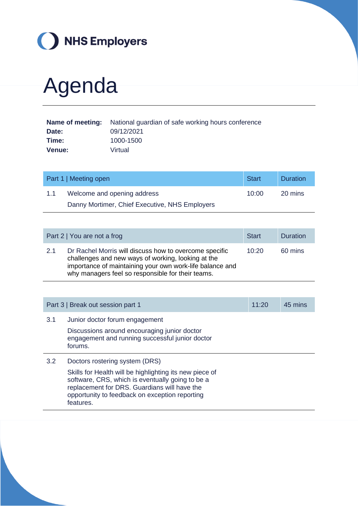

## Agenda

|               | <b>Name of meeting:</b> National guardian of safe working hours conference |
|---------------|----------------------------------------------------------------------------|
| Date:         | 09/12/2021                                                                 |
| Time:         | 1000-1500                                                                  |
| <b>Venue:</b> | Virtual                                                                    |

|     | Part 1   Meeting open                          | <b>Start</b> | Duration |
|-----|------------------------------------------------|--------------|----------|
| 1.1 | Welcome and opening address                    | 10:00        | 20 mins  |
|     | Danny Mortimer, Chief Executive, NHS Employers |              |          |

|     | Part 2   You are not a frog                                                                                                                                                                                                   | <b>Start</b> | <b>Duration</b> |
|-----|-------------------------------------------------------------------------------------------------------------------------------------------------------------------------------------------------------------------------------|--------------|-----------------|
| 2.1 | Dr Rachel Morris will discuss how to overcome specific<br>challenges and new ways of working, looking at the<br>importance of maintaining your own work-life balance and<br>why managers feel so responsible for their teams. | 10:20        | 60 mins         |

|     | Part 3   Break out session part 1                                                                                                                                                                                                                            | 11:20 | 45 mins |
|-----|--------------------------------------------------------------------------------------------------------------------------------------------------------------------------------------------------------------------------------------------------------------|-------|---------|
| 3.1 | Junior doctor forum engagement<br>Discussions around encouraging junior doctor<br>engagement and running successful junior doctor<br>forums.                                                                                                                 |       |         |
| 3.2 | Doctors rostering system (DRS)<br>Skills for Health will be highlighting its new piece of<br>software, CRS, which is eventually going to be a<br>replacement for DRS. Guardians will have the<br>opportunity to feedback on exception reporting<br>features. |       |         |